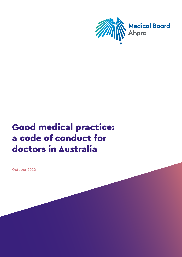

# Good medical practice: a code of conduct for doctors in Australia

October 2020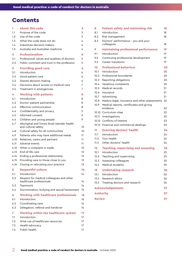# Contents

| 1                       | <b>About this code</b>                                               | 3  |
|-------------------------|----------------------------------------------------------------------|----|
| 1.1                     | Purpose of the code                                                  | 3  |
| 1.2                     | Use of the code                                                      | 3  |
| 1.3                     | What the code does not do                                            | 4  |
| 1.4                     | Substitute decision-makers                                           | 4  |
| 1.5                     | Australia and Australian medicine                                    | 4  |
| $\overline{\mathbf{2}}$ | <b>Professionalism</b>                                               | 5  |
| 2.1                     | Professional values and qualities of doctors                         | 5  |
| 2.2                     | Public comment and trust in the profession                           | 5  |
| 3                       | <b>Providing good care</b>                                           | 6  |
| 3.1                     | Introduction                                                         | 6  |
| 3.2                     | Good patient care                                                    | 6  |
| 3.3                     | Shared decision-making                                               | 6  |
| 3.4                     | Decisions about access to medical care                               | 7  |
| 3.5                     | Treatment in emergencies                                             | 7  |
| 4                       | <b>Working with patients</b>                                         | 8  |
| 4.1                     | Introduction                                                         | 8  |
| 4.2                     | Doctor-patient partnership                                           | 8  |
| 4.3                     | Effective communication                                              | 8  |
| 4.4                     | Confidentiality and privacy                                          | 9  |
| 4.5                     | Informed consent                                                     | 9  |
| 4.6                     | Children and young people                                            | 9  |
| 4.7                     | Aboriginal and Torres Strait Islander health<br>and cultural safety  | 10 |
| 4.8                     | Cultural safety for all communities                                  | 10 |
| 4.9                     | Patients who may have additional needs                               | 11 |
| 4.10                    | Relatives, carers and partners                                       | 11 |
| 4.11                    | Adverse events                                                       | 11 |
| 4.12                    | When a complaint is made                                             | 12 |
| 4.13                    | End-of-life care                                                     | 12 |
| 4.14                    | Ending a professional relationship                                   | 13 |
| 4.15                    | Providing care to those close to you                                 | 13 |
| 4.16                    | Closing or relocating your practice                                  | 13 |
| 5                       | <b>Respectful culture</b>                                            | 14 |
| 5.1                     | Introduction                                                         | 14 |
| 5.2                     | Respect for medical colleagues and other<br>healthcare professionals | 14 |
| 5.3                     | Teamwork                                                             | 14 |
| 5.4                     | Discrimination, bullying and sexual harassment                       | 15 |
| 6                       | <b>Working with healthcare professionals</b>                         | 16 |
| 6.1                     | Introduction                                                         | 16 |
| 6.2                     | Coordinating care                                                    | 16 |
| 6.3                     | Delegation, referral and handover                                    | 16 |
| 7                       | <b>Working within the healthcare system</b>                          | 17 |
| 7.1                     | Introduction                                                         | 17 |
| 7.2                     | Wise use of healthcare resources                                     | 17 |
| 7.3                     | Health advocacy                                                      | 17 |
| 7.4                     | Public health                                                        | 17 |

| 8                | <b>Patient safety and minimising risk</b>     | 18 |
|------------------|-----------------------------------------------|----|
| 8.1              | Introduction                                  | 18 |
| 8.2              | Risk management                               | 18 |
| 8.3              | Doctors' performance - you and your           |    |
|                  | colleagues                                    | 18 |
| 9                | <b>Maintaining professional performance</b>   | 19 |
| 9.1              | Introduction                                  | 19 |
| 9.2              | Continuing professional development           | 19 |
| 9.3              | Career transitions                            | 19 |
| 10               | <b>Professional behaviour</b>                 | 20 |
| 10.1             | Introduction                                  | 20 |
| 10.2             | Professional boundaries                       | 20 |
| 10.3             | Reporting obligations                         | 20 |
| 10.4             | Vexatious complaints                          | 20 |
| 10.5             | Medical records                               | 21 |
| 10.6             | Insurance                                     | 21 |
| 10.7             | Advertising                                   | 21 |
| 10.8             | Medico-legal, insurance and other assessments | 22 |
| 10.9             | Medical reports, certificates and giving      |    |
|                  | evidence                                      | 22 |
|                  | 10.10 Curriculum vitae                        | 22 |
| 10.11            | Investigations                                | 22 |
| 10.12            | Conflicts of interest                         | 23 |
| 10.13            | Financial and commercial dealings             | 23 |
| 11               | <b>Ensuring doctors' health</b>               | 24 |
| 11.1             | Introduction                                  | 24 |
| 11.2             | Your health                                   | 24 |
| 11.3             | Other doctors' health                         | 24 |
| 12               | <b>Teaching, supervising and assessing</b>    | 25 |
| 12.1             | Introduction                                  | 25 |
| 12.2             | Teaching and supervising                      | 25 |
| 12.3             | Assessing colleagues                          | 25 |
| 12.4             | Medical students                              | 25 |
| 13               | <b>Undertaking research</b>                   | 26 |
| 13.1             | Introduction                                  | 26 |
| 13.2             | Research ethics                               | 26 |
| 13.3             | Treating doctors and research                 | 26 |
|                  | <b>Acknowledgements</b>                       | 27 |
| <b>Authority</b> |                                               | 27 |
| <b>Review</b>    |                                               | 27 |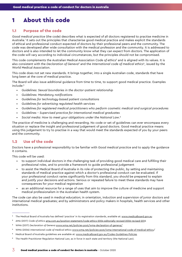# <span id="page-2-0"></span>1 About this code

#### 1.1 Purpose of the code

*Good medical practice* (the code) describes what is expected of all doctors registered to practise medicine in Australia.1 It sets out the principles that characterise good medical practice and makes explicit the standards of ethical and professional conduct expected of doctors by their professional peers and the community. The code was developed after wide consultation with the medical profession and the community. It is addressed to doctors and is also intended to let the community know what they can expect from doctors. The application of the code will vary according to individual circumstances, but the principles should not be compromised.

This code complements the Australian Medical Association *Code of ethics*<sup>2</sup> and is aligned with its values. It is also consistent with the *Declaration of Geneva*<sup>3</sup> and the International code of medical ethics<sup>4</sup>, issued by the World Medical Association.

This code does not set new standards. It brings together, into a single Australian code, standards that have long been at the core of medical practice.

The Board will also issue additional guidance from time to time, to support good medical practice. Examples include:<sup>5</sup>

- *Guidelines: Sexual boundaries in the doctor–patient relationship*
- *Guidelines: Mandatory notifications*
- *Guidelines for technology-based patient consultations*
- *Guidelines for advertising regulated health services*
- *Guidelines for registered medical practitioners who perform cosmetic medical and surgical procedures*
- *Guidelines Supervised practice for international medical graduates*
- *Social media: How to meet your obligations under the National Law*. 6

The practice of medicine is challenging and rewarding. No code or set of guidelines can ever encompass every situation or replace the insight and professional judgement of good doctors. Good medical practice means using this judgement to try to practise in a way that would meet the standards expected of you by your peers and the community.

# 1.2 Use of the code

Doctors have a professional responsibility to be familiar with *Good medical practice* and to apply the guidance it contains.

This code will be used:

- to support individual doctors in the challenging task of providing good medical care and fulfilling their professional roles, and to provide a framework to guide professional judgement
- to assist the Medical Board of Australia in its role of protecting the public, by setting and maintaining standards of medical practice against which a doctor's professional conduct can be evaluated. If your professional conduct varies significantly from this standard, you should be prepared to explain and justify your decisions and actions. Serious or repeated failure to meet these standards may have consequences for your medical registration
- as an additional resource for a range of uses that aim to improve the culture of medicine and support medical professionalism in the Australian health system.

The code can also be used in medical education; in orientation, induction and supervision of junior doctors and international medical graduates; and by administrators and policy makers in hospitals, health services and other institutions.

<sup>&</sup>lt;sup>1</sup> The Medical Board of Australia has defined 'practice' in its registration standards, available at: [www.medicalboard.gov.au](http://www.medicalboard.gov.au)

<sup>2</sup> AMA (2017) *Code of ethics* [ama.com.au/position-statement/code-ethics-2004-editorially-revised-2006-revised-201](http://ama.com.au/position-statement/code-ethics-2004-editorially-revised-2006-revised-201)6

<sup>3</sup> WMA (2017) *Declaration of Geneva* [www.wma.net/policies-post/wma-declaration-of-geneva/](http://www.wma.net/policies-post/wma-declaration-of-geneva/)

<sup>4</sup> WMA (2006) *International code of medical ethics* [www.wma.net/policies-post/wma-international-code-of-medical-ethics](http://www.wma.net/policies-post/wma-international-code-of-medical-ethics)/

<sup>5</sup> Medical Board of Australia guidelines are available at: [www.medicalboard.gov.au/Codes-Guidelines-Policies](http://www.medicalboard.gov.au/Codes-Guidelines-Policies)

<sup>6</sup> The Health Practitioner Regulation National Law, as in force in each state and territory (the National Law).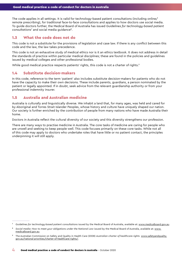<span id="page-3-0"></span>The code applies in all settings. It is valid for technology-based patient consultations (including online/ remote prescribing), for traditional face-to-face consultations and applies to how doctors use social media. To guide doctors further, the Medical Board of Australia has issued *Guidelines for technology-based patient consultations*<sup>7</sup> and social media guidance8.

### 1.3 What the code does not do

This code is not a substitute for the provisions of legislation and case law. If there is any conflict between this code and the law, the law takes precedence.

This code is not an exhaustive study of medical ethics nor is it an ethics textbook. It does not address in detail the standards of practice within particular medical disciplines; these are found in the policies and guidelines issued by medical colleges and other professional bodies.

While good medical practice respects patients' rights, this code is not a charter of rights.<sup>9</sup>

#### 1.4 Substitute decision-makers

In this code, reference to the term 'patient' also includes substitute decision-makers for patients who do not have the capacity to make their own decisions. These include parents, guardians, a person nominated by the patient or legally appointed. If in doubt, seek advice from the relevant guardianship authority or from your professional indemnity insurer.

### 1.5 Australia and Australian medicine

Australia is culturally and linguistically diverse. We inhabit a land that, for many ages, was held and cared for by Aboriginal and Torres Strait Islander Peoples, whose history and culture have uniquely shaped our nation. Our society is further enriched by the contribution of people from many nations who have made Australia their home.

Doctors in Australia reflect the cultural diversity of our society and this diversity strengthens our profession.

There are many ways to practise medicine in Australia. The core tasks of medicine are caring for people who are unwell and seeking to keep people well. This code focuses primarily on these core tasks. While not all of this code may apply to doctors who undertake roles that have little or no patient contact, the principles underpinning it will still apply.

<sup>7</sup> *Guidelines for technology-based patient consultations* issued by the Medical Board of Australia, available at: [www.medicalboard.gov.au](http://www.medicalboard.gov.au).

<sup>&</sup>lt;sup>8</sup> Social media: How to meet your obligations under the National Law issued by the Medical Board of Australia, available at: [www.](http://www.medicalboard.gov.au) [medicalboard.gov.au.](http://www.medicalboard.gov.au)

<sup>9</sup> The Australian Commission on Safety and Quality in Health Care (2008) *Australian charter of healthcare rights* [www.safetyandquality.](http://www.safetyandquality.gov.au/national-priorities/charter-of-healthcare-rights/) [gov.au/national-priorities/charter-of-healthcare-rights/.](http://www.safetyandquality.gov.au/national-priorities/charter-of-healthcare-rights/)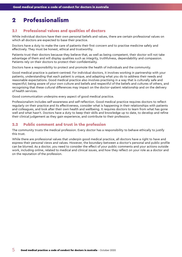# <span id="page-4-0"></span>2 Professionalism

# 2.1 Professional values and qualities of doctors

While individual doctors have their own personal beliefs and values, there are certain professional values on which all doctors are expected to base their practice.

Doctors have a duty to make the care of patients their first concern and to practise medicine safely and effectively. They must be honest, ethical and trustworthy.

Patients trust their doctors because they believe that, as well as being competent, their doctor will not take advantage of them and will display qualities such as integrity, truthfulness, dependability and compassion. Patients rely on their doctors to protect their confidentiality.

Doctors have a responsibility to protect and promote the health of individuals and the community.

Good medical practice is patient-centred. For individual doctors, it involves working in partnership with your patients, understanding that each patient is unique, and adapting what you do to address their needs and reasonable expectations. Good medical practice also involves practising in a way that is culturally safe and respectful; being aware of your own culture and beliefs and respectful of the beliefs and cultures of others, and recognising that these cultural differences may impact on the doctor–patient relationship and on the delivery of health services.

Good communication underpins every aspect of good medical practice.

Professionalism includes self-awareness and self-reflection. Good medical practice requires doctors to reflect regularly on their practice and its effectiveness, consider what is happening in their relationships with patients and colleagues, and look after their own health and wellbeing. It requires doctors to learn from what has gone well and what hasn't. Doctors have a duty to keep their skills and knowledge up to date, to develop and refine their clinical judgement as they gain experience, and contribute to their profession.

# 2.2 Public comment and trust in the profession

The community trusts the medical profession. Every doctor has a responsibility to behave ethically to justify this trust.

While there are professional values that underpin good medical practice, all doctors have a right to have and express their personal views and values. However, the boundary between a doctor's personal and public profile can be blurred. As a doctor, you need to consider the effect of your public comments and your actions outside work, including online, related to medical and clinical issues, and how they reflect on your role as a doctor and on the reputation of the profession.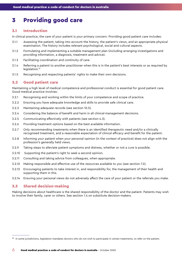# <span id="page-5-0"></span>3 Providing good care

#### 3.1 Introduction

In clinical practice, the care of your patient is your primary concern. Providing good patient care includes:

- 3.1.1 Assessing the patient, taking into account the history, the patient's views, and an appropriate physical examination. The history includes relevant psychological, social and cultural aspects.
- 3.1.2 Formulating and implementing a suitable management plan (including arranging investigations and providing information, a diagnosis, treatment and advice).
- 3.1.3 Facilitating coordination and continuity of care.
- 3.1.4 Referring a patient to another practitioner when this is in the patient's best interests or as required by legislation.<sup>10</sup>
- 3.1.5 Recognising and respecting patients' rights to make their own decisions.

### 3.2 Good patient care

Maintaining a high level of medical competence and professional conduct is essential for good patient care. Good medical practice involves:

- 3.2.1 Recognising and working within the limits of your competence and scope of practice.
- 3.2.2 Ensuring you have adequate knowledge and skills to provide safe clinical care.
- 3.2.3 Maintaining adequate records (see section 10.5).
- 3.2.4 Considering the balance of benefit and harm in all clinical-management decisions.
- 3.2.5 Communicating effectively with patients (see section 4.3).
- 3.2.6 Providing treatment options based on the best available information.
- 3.2.7 Only recommending treatments when there is an identified therapeutic need and/or a clinically recognised treatment, and a reasonable expectation of clinical efficacy and benefit for the patient.
- 3.2.8 Informing your patient when your personal opinion (in the context of practice) does not align with the profession's generally held views.
- 3.2.9 Taking steps to alleviate patient symptoms and distress, whether or not a cure is possible.
- 3.2.10 Supporting the patient's right to seek a second opinion.
- 3.2.11 Consulting and taking advice from colleagues, when appropriate.
- 3.2.12 Making responsible and effective use of the resources available to you (see section 7.2).
- 3.2.13 Encouraging patients to take interest in, and responsibility for, the management of their health and supporting them in this.
- 3.2.14 Ensuring your personal views do not adversely affect the care of your patient or the referrals you make.

#### 3.3 Shared decision-making

Making decisions about healthcare is the shared responsibility of the doctor and the patient. Patients may wish to involve their family, carer or others. See section 1.4 on substitute decision-makers.

<sup>&</sup>lt;sup>10</sup> In some jurisdictions, legislation mandates doctors who do not wish to participate in certain treatments, to refer on the patient.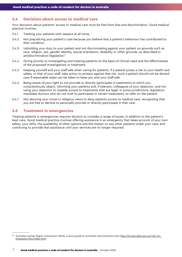# <span id="page-6-0"></span>3.4 Decisions about access to medical care

Your decisions about patients' access to medical care must be free from bias and discrimination. Good medical practice involves:

- 3.4.1 Treating your patients with respect at all times.
- 3.4.2 Not prejudicing your patient's care because you believe that a patient's behaviour has contributed to their condition.
- 3.4.3 Upholding your duty to your patient and not discriminating against your patient on grounds such as race, religion, sex, gender identity, sexual orientation, disability or other grounds, as described in antidiscrimination legislation.<sup>11</sup>
- 3.4.4 Giving priority to investigating and treating patients on the basis of clinical need and the effectiveness of the proposed investigations or treatment.
- 3.4.5 Keeping yourself and your staff safe when caring for patients. If a patient poses a risk to your health and safety, or that of your staff, take action to protect against that risk. Such a patient should not be denied care if reasonable steps can be taken to keep you and your staff safe.
- 3.4.6 Being aware of your right to not provide or directly participate in treatments to which you conscientiously object, informing your patients and, if relevant, colleagues of your objection, and not using your objection to impede access to treatments that are legal. In some jurisdictions, legislation mandates doctors who do not wish to participate in certain treatments, to refer on the patient.
- 3.4.7 Not allowing your moral or religious views to deny patients access to medical care, recognising that you are free to decline to personally provide or directly participate in that care.

### 3.5 Treatment in emergencies

Treating patients in emergencies requires doctors to consider a range of issues, in addition to the patient's best care. Good medical practice involves offering assistance in an emergency that takes account of your own safety, your skills, the availability of other options and the impact on any other patients under your care; and continuing to provide that assistance until your services are no longer required.

<sup>11</sup> Australian Human Rights Commission (2014), *A quick guide to Australian discrimination laws* [http://humanrights.gov.au/info\\_for\\_](http://humanrights.gov.au/info_for_employers/law/index.html) [employers/law/index.html.](http://humanrights.gov.au/info_for_employers/law/index.html)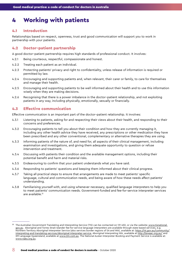# <span id="page-7-0"></span>4 Working with patients

#### 4.1 Introduction

Relationships based on respect, openness, trust and good communication will support you to work in partnership with your patients.

#### 4.2 Doctor–patient partnership

A good doctor–patient partnership requires high standards of professional conduct. It involves:

- 4.2.1 Being courteous, respectful, compassionate and honest.
- 4.2.2 Treating each patient as an individual.
- 4.2.3 Protecting patients' privacy and right to confidentiality, unless release of information is required or permitted by law.
- 4.2.4 Encouraging and supporting patients and, when relevant, their carer or family, to care for themselves and manage their health.
- 4.2.5 Encouraging and supporting patients to be well informed about their health and to use this information wisely when they are making decisions.
- 4.2.6 Recognising that there is a power imbalance in the doctor–patient relationship, and not exploiting patients in any way, including physically, emotionally, sexually or financially.

### 4.3 Effective communication

Effective communication is an important part of the doctor–patient relationship. It involves:

- 4.3.1 Listening to patients, asking for and respecting their views about their health, and responding to their concerns and preferences.
- 4.3.2 Encouraging patients to tell you about their condition and how they are currently managing it, including any other health advice they have received, any prescriptions or other medication they have been prescribed and any other conventional, complementary or alternative therapies they are using.
- 4.3.3 Informing patients of the nature of, and need for, all aspects of their clinical management, including examination and investigations, and giving them adequate opportunity to question or refuse intervention and treatment.
- 4.3.4 Discussing with patients their condition and the available management options, including their potential benefit and harm and material risks.
- 4.3.5 Endeavouring to confirm that your patient understands what you have said.
- 4.3.6 Responding to patients' questions and keeping them informed about their clinical progress.
- 4.3.7 Taking all practical steps to ensure that arrangements are made to meet patients' specific language, cultural and communication needs, and being aware of how these needs affect patients' understanding.
- 4.3.8 Familiarising yourself with, and using whenever necessary, qualified language interpreters to help you to meet patients' communication needs. Government-funded and fee-for-service interpreter services are available.12

<sup>&</sup>lt;sup>12</sup> The Australian Government Translating and Interpreting Service (TIS) can be contacted on 131 450, or via the website: [www.tisnational.](http:// www.tisnational.gov.au) [gov.au](http:// www.tisnational.gov.au). Aboriginal and Torres Strait Islander fee-for-service language interpreters are available through state based services, e.g. Northern Territory Aboriginal Interpreter Service (also services border regions of SA and WA), available at: [https://nt.gov.au/community/](https://nt.gov.au/community/interpreting-and-translating-services/aboriginal-interpreter-service) [interpreting-and-translating-services/aboriginal-interpreter-service,](https://nt.gov.au/community/interpreting-and-translating-services/aboriginal-interpreter-service) Aboriginal Interpreting WA, available at <http://aiwaac.org.au/>and 2M Language Queensland, available at [www.2m.com.au](http://www.2m.com.au). The National Auslan Interpreter Booking and Payment Service is available at: [www.nabs.org.au](http://www.nabs.org.au).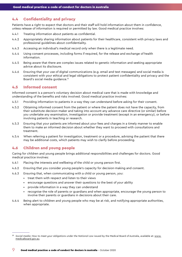# <span id="page-8-0"></span>4.4 Confidentiality and privacy

Patients have a right to expect that doctors and their staff will hold information about them in confidence, unless release of information is required or permitted by law. Good medical practice involves:

- 4.4.1 Treating information about patients as confidential.
- 4.4.2 Appropriately sharing information about patients for their healthcare, consistent with privacy laws and professional guidelines about confidentiality.
- 4.4.3 Accessing an individual's medical record only when there is a legitimate need.
- 4.4.4 Using consent processes, including forms if required, for the release and exchange of health information.
- 4.4.5 Being aware that there are complex issues related to genetic information and seeking appropriate advice about its disclosure.
- 4.4.6 Ensuring that your use of digital communications (e.g. email and text messages) and social media is consistent with your ethical and legal obligations to protect patient confidentiality and privacy and the Board's social media guidance.13

# 4.5 Informed consent

Informed consent is a person's voluntary decision about medical care that is made with knowledge and understanding of the benefits and risks involved. Good medical practice involves:

- 4.5.1 Providing information to patients in a way they can understand before asking for their consent.
- 4.5.2 Obtaining informed consent from the patient or where the patient does not have the capacity, from their substitute decision-maker and taking into account any advance care directive (or similar) before you undertake any examination, investigation or provide treatment (except in an emergency), or before involving patients in teaching or research.
- 4.5.3 Ensuring that your patients are informed about your fees and charges in a timely manner to enable them to make an informed decision about whether they want to proceed with consultations and treatment.
- 4.5.4 When referring a patient for investigation, treatment or a procedure, advising the patient that there may be additional costs, which patients may wish to clarify before proceeding.

# 4.6 Children and young people

Caring for children and young people brings additional responsibilities and challenges for doctors. Good medical practice involves:

- 4.6.1 Placing the interests and wellbeing of the child or young person first.
- 4.6.2 Ensuring that you consider young people's capacity for decision-making and consent.
- 4.6.3 Ensuring that, when communicating with a child or young person, you:
	- treat them with respect and listen to their views
	- encourage questions and answer their questions to the best of your ability
	- provide information in a way they can understand
	- recognise the role of parents or guardians and when appropriate, encourage the young person to involve their parents or guardians in decisions about their care.
- 4.6.4 Being alert to children and young people who may be at risk, and notifying appropriate authorities, when appropriate.

<sup>&</sup>lt;sup>13</sup> Social media: How to meet your obligations under the National Law issued by the Medical Board of Australia, available at: [www.](http://www.medicalboard.gov.au) [medicalboard.gov.au.](http://www.medicalboard.gov.au)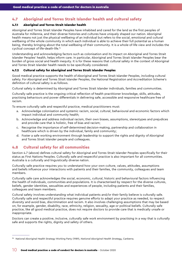# <span id="page-9-0"></span>4.7 Aboriginal and Torres Strait Islander health and cultural safety

#### 4.7.1 Aboriginal and Torres Strait Islander health

Aboriginal and Torres Strait Islander Peoples have inhabited and cared for the land as the first peoples of Australia for millennia, and their diverse histories and cultures have uniquely shaped our nation. Aboriginal health means not just the physical wellbeing of an individual but refers to the social, emotional and cultural wellbeing of the whole community in which each individual is able to achieve their full potential as a human being, thereby bringing about the total wellbeing of their community. It is a whole-of-life view and includes the cyclical concept of life-death-life.14

Understanding and acknowledging factors such as colonisation and its impact on Aboriginal and Torres Strait Islander Peoples' health, helps inform care. In particular, Aboriginal and Torres Strait Islander Peoples bear the burden of gross social and health inequity. It is for these reasons that cultural safety in the context of Aboriginal and Torres Strait Islander health needs to be specifically considered.

#### 4.7.2 Cultural safety for Aboriginal and Torres Strait Islander Peoples

Good medical practice supports the health of Aboriginal and Torres Strait Islander Peoples, including cultural safety. For Aboriginal and Torres Strait Islander Peoples, the National Registration and Accreditation Scheme's definition of cultural safety is as follows.

Cultural safety is determined by Aboriginal and Torres Strait Islander individuals, families and communities.

Culturally safe practice is the ongoing critical reflection of health practitioner knowledge, skills, attitudes, practising behaviours and power differentials in delivering safe, accessible and responsive healthcare free of racism.

To ensure culturally safe and respectful practice, medical practitioners must:

- a. Acknowledge colonisation and systemic racism, social, cultural, behavioural and economic factors which impact individual and community health;
- b. Acknowledge and address individual racism, their own biases, assumptions, stereotypes and prejudices and provide care that is holistic, free of bias and racism;
- c. Recognise the importance of self-determined decision-making, partnership and collaboration in healthcare which is driven by the individual, family and community;
- d. Foster a safe working environment through leadership to support the rights and dignity of Aboriginal and Torres Strait Islander people and colleagues.

# 4.8 Cultural safety for all communities

Section 4.7 (above) defines cultural safety for Aboriginal and Torres Strait Islander Peoples specifically for their status as First Nations Peoples. Culturally safe and respectful practice is also important for all communities. Australia is a culturally and linguistically diverse nation.

Culturally safe practice requires you to understand how your own culture, values, attitudes, assumptions and beliefs influence your interactions with patients and their families, the community, colleagues and team members.

Culturally safe care acknowledges the social, economic, cultural, historic and behavioural factors influencing the health of individuals, communities and populations. It is characterised by respect for the diverse cultures, beliefs, gender identities, sexualities and experiences of people, including patients and their families, colleagues and team members.

Cultural safety involves understanding what individual patients and/or their family believe is culturally safe. Culturally safe and respectful practice requires genuine efforts to adapt your practice as needed, to respect diversity and avoid bias, discrimination and racism. It also involves challenging assumptions that may be based on, for example, gender, disability, race, ethnicity, religion, sexuality, age or political beliefs. Culturally safe practice, like all good medical practice, does not require doctors to provide care that is medically unsafe or inappropriate.

Doctors can create a positive, inclusive, culturally safe work environment by practising in a way that is culturally safe and supports the rights, dignity and safety of others.

<sup>14</sup> National Aboriginal Health Strategy Working Party (1989), *National Aboriginal Health Strategy*, Canberra.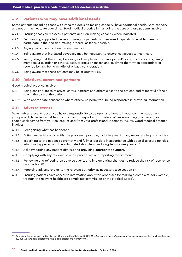### <span id="page-10-0"></span>4.9 Patients who may have additional needs

Some patients (including those with impaired decision-making capacity) have additional needs. Both capacity and needs may fluctuate over time. Good medical practice in managing the care of these patients involves:

- 4.9.1 Ensuring that you reassess a patient's decision-making capacity when indicated.
- 4.9.2 Encouraging supported decision-making by patients with impaired capacity, to enable them to participate in the decision-making process, as far as possible.
- 4.9.3 Paying particular attention to communication.
- 4.9.4 Being aware that increased advocacy may be necessary to ensure just access to healthcare.
- 4.9.5 Recognising that there may be a range of people involved in a patient's care, such as carers, family members, a guardian or other substitute decision-maker, and involving them when appropriate or required by law, being mindful of privacy considerations.
- 4.9.6 Being aware that these patients may be at greater risk.

#### 4.10 Relatives, carers and partners

Good medical practice involves:

- 4.10.1 Being considerate to relatives, carers, partners and others close to the patient, and respectful of their role in the care of the patient.
- 4.10.2 With appropriate consent or where otherwise permitted, being responsive in providing information.

#### 4.11 Adverse events

When adverse events occur, you have a responsibility to be open and honest in your communication with your patient, to review what has occurred and to report appropriately. When something goes wrong you should seek advice from your colleagues and from your professional indemnity insurer. Good medical practice involves:

- 4.11.1 Recognising what has happened.
- 4.11.2 Acting immediately to rectify the problem if possible, including seeking any necessary help and advice.
- 4.11.3 Explaining to the patient as promptly and fully as possible in accordance with open disclosure policies, what has happened and the anticipated short-term and long-term consequences.<sup>15</sup>
- 4.11.4 Acknowledging any patient distress and providing appropriate support.
- 4.11.5 Complying with any relevant policies, procedures and reporting requirements.
- 4.11.6 Reviewing and reflecting on adverse events and implementing changes to reduce the risk of recurrence (see section 8).
- 4.11.7 Reporting adverse events to the relevant authority, as necessary (see section 8).
- 4.11.8 Ensuring patients have access to information about the processes for making a complaint (for example, through the relevant healthcare complaints commission or the Medical Board).

<sup>15</sup> Australian Commission on Safety and Quality in Health Care (2013) *The Australian open disclosure framework* [www.safetyandquality.gov.](http://www.safetyandquality.gov.au/our-work/open-disclosure/the-open-disclosure-framework) [au/our-work/open-disclosure/the-open-disclosure-framework](http://www.safetyandquality.gov.au/our-work/open-disclosure/the-open-disclosure-framework)/.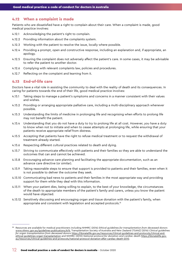#### <span id="page-11-0"></span>4.12 When a complaint is made

Patients who are dissatisfied have a right to complain about their care. When a complaint is made, good medical practice involves:

- 4.12.1 Acknowledging the patient's right to complain.
- 4.12.2 Providing information about the complaints system.
- 4.12.3 Working with the patient to resolve the issue, locally where possible.
- 4.12.4 Providing a prompt, open and constructive response, including an explanation and, if appropriate, an apology.
- 4.12.5 Ensuring the complaint does not adversely affect the patient's care. In some cases, it may be advisable to refer the patient to another doctor.
- 4.12.6 Complying with relevant complaints law, policies and procedures.
- 4.12.7 Reflecting on the complaint and learning from it.

#### 4.13 End-of-life care

Doctors have a vital role in assisting the community to deal with the reality of death and its consequences. In caring for patients towards the end of their life, good medical practice involves:

- 4.13.1 Taking steps to manage a patient's symptoms and concerns in a manner consistent with their values and wishes.
- 4.13.2 Providing or arranging appropriate palliative care, including a multi-disciplinary approach whenever possible.
- 4.13.3 Understanding the limits of medicine in prolonging life and recognising when efforts to prolong life may not benefit the patient.
- 4.13.4 Understanding that you do not have a duty to try to prolong life at all cost. However, you have a duty to know when not to initiate and when to cease attempts at prolonging life, while ensuring that your patients receive appropriate relief from distress.
- 4.13.5 Accepting that patients have the right to refuse medical treatment or to request the withdrawal of treatment already started.
- 4.13.6 Respecting different cultural practices related to death and dying.
- 4.13.7 Striving to communicate effectively with patients and their families so they are able to understand the outcomes that can and cannot be achieved.
- 4.13.8 Encouraging advance care planning and facilitating the appropriate documentation, such as an advance care directive (or similar).
- 4.13.9 Taking reasonable steps to ensure that support is provided to patients and their families, even when it is not possible to deliver the outcome they seek.
- 4.13.10 Communicating bad news to patients and their families in the most appropriate way and providing support for them while they deal with this information.
- 4.13.11 When your patient dies, being willing to explain, to the best of your knowledge, the circumstances of the death to appropriate members of the patient's family and carers, unless you know the patient would have objected.
- 4.13.12 Sensitively discussing and encouraging organ and tissue donation with the patient's family, when appropriate and consistent with legislation and accepted protocols.<sup>16</sup>

<sup>&</sup>lt;sup>16</sup> Resources are available for medical practitioners including NHMRC (2016) *Ethical guidelines for transplantation from deceased donors* [www.nhmrc.gov.au/guidelines-publications/e76](http://www.nhmrc.gov.au/guidelines-publications/e76), Transplantation Society of Australia and New Zealand (TSANZ) (2016) *Clinical guidelines for organ transplantation from deceased donors* [https://donatelife.gov.au/resources/clinical-guidelines-and-protocols/clinical-and](https://donatelife.gov.au/resources/clinical-guidelines-and-protocols/clinical-and-ethical-guidelines-organ-transplantation)[ethical-guidelines-organ-transplantation](https://donatelife.gov.au/resources/clinical-guidelines-and-protocols/clinical-and-ethical-guidelines-organ-transplantation) and NHMRC (2010) *National protocol for donation and cardiac death* [https://donatelife.gov.](https://donatelife.gov.au/resources/clinical-guidelines-and-protocols/national-protocol-donation-after-cardiac-death-2010) [au/resources/clinical-guidelines-and-protocols/national-protocol-donation-after-cardiac-death-2010](https://donatelife.gov.au/resources/clinical-guidelines-and-protocols/national-protocol-donation-after-cardiac-death-2010).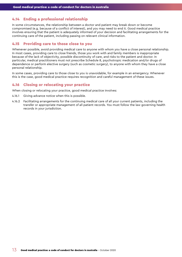# <span id="page-12-0"></span>4.14 Ending a professional relationship

In some circumstances, the relationship between a doctor and patient may break down or become compromised (e.g. because of a conflict of interest), and you may need to end it. Good medical practice involves ensuring that the patient is adequately informed of your decision and facilitating arrangements for the continuing care of the patient, including passing on relevant clinical information.

#### 4.15 Providing care to those close to you

Whenever possible, avoid providing medical care to anyone with whom you have a close personal relationship. In most cases, providing care to close friends, those you work with and family members is inappropriate because of the lack of objectivity, possible discontinuity of care, and risks to the patient and doctor. In particular, medical practitioners must not prescribe Schedule 8, psychotropic medication and/or drugs of dependence or perform elective surgery (such as cosmetic surgery), to anyone with whom they have a close personal relationship.

In some cases, providing care to those close to you is unavoidable, for example in an emergency. Whenever this is the case, good medical practice requires recognition and careful management of these issues.

### 4.16 Closing or relocating your practice

When closing or relocating your practice, good medical practice involves:

- 4.16.1 Giving advance notice when this is possible.
- 4.16.2 Facilitating arrangements for the continuing medical care of all your current patients, including the transfer or appropriate management of all patient records. You must follow the law governing health records in your jurisdiction.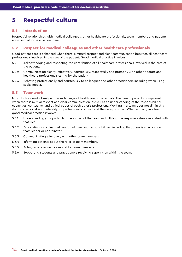# <span id="page-13-0"></span>5 Respectful culture

### 5.1 Introduction

Respectful relationships with medical colleagues, other healthcare professionals, team members and patients are essential for safe patient care.

# 5.2 Respect for medical colleagues and other healthcare professionals

Good patient care is enhanced when there is mutual respect and clear communication between all healthcare professionals involved in the care of the patient. Good medical practice involves:

- 5.2.1 Acknowledging and respecting the contribution of all healthcare professionals involved in the care of the patient.
- 5.2.2 Communicating clearly, effectively, courteously, respectfully and promptly with other doctors and healthcare professionals caring for the patient.
- 5.2.3 Behaving professionally and courteously to colleagues and other practitioners including when using social media.

#### 5.3 Teamwork

Most doctors work closely with a wide range of healthcare professionals. The care of patients is improved when there is mutual respect and clear communication, as well as an understanding of the responsibilities, capacities, constraints and ethical codes of each other's professions. Working in a team does not diminish a doctor's personal accountability for professional conduct and the care provided. When working in a team, good medical practice involves:

- 5.3.1 Understanding your particular role as part of the team and fulfilling the responsibilities associated with that role.
- 5.3.2 Advocating for a clear delineation of roles and responsibilities, including that there is a recognised team leader or coordinator.
- 5.3.3 Communicating effectively with other team members.
- 5.3.4 Informing patients about the roles of team members.
- 5.3.5 Acting as a positive role model for team members.
- 5.3.6 Supporting students and practitioners receiving supervision within the team.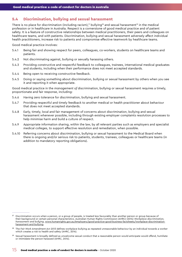# <span id="page-14-0"></span>5.4 Discrimination, bullying and sexual harassment

There is no place for discrimination (including racism),<sup>17</sup> bullying<sup>18</sup> and sexual harassment<sup>19</sup> in the medical profession or in healthcare in Australia. Respect is a cornerstone of good medical practice and of patient safety. It is a feature of constructive relationships between medical practitioners, their peers and colleagues on healthcare teams, and with patients. Discrimination, bullying and sexual harassment adversely affect individual health practitioners, increase risk to patients and compromise effective teamwork by healthcare teams.

Good medical practice involves:

- 5.4.1 Being fair and showing respect for peers, colleagues, co-workers, students on healthcare teams and patients.
- 5.4.2 Not discriminating against, bullying or sexually harassing others.
- 5.4.3 Providing constructive and respectful feedback to colleagues, trainees, international medical graduates and students, including when their performance does not meet accepted standards.
- 5.4.4 Being open to receiving constructive feedback.
- 5.4.5 Doing or saying something about discrimination, bullying or sexual harassment by others when you see it and reporting it when appropriate.

Good medical practice in the *management of* discrimination, bullying or sexual harassment requires a timely, proportionate and fair response, including:

- 5.4.6 Having zero tolerance for discrimination, bullying and sexual harassment.
- 5.4.7 Providing respectful and timely feedback to another medical or health practitioner about behaviour that does not meet accepted standards.
- 5.4.8 Early, timely, local and fair management of concerns about discrimination, bullying and sexual harassment whenever possible, including through existing employer complaints resolution processes to help minimise harm and build a culture of respect.
- 5.4.9 Appropriate information sharing, within the law, by all relevant parties such as employers and specialist medical colleges, to support effective resolution and remediation, when possible.
- 5.4.10 Referring concerns about discrimination, bullying or sexual harassment to the Medical Board when there is ongoing and/or serious risk to patients, students, trainees, colleagues or healthcare teams (in addition to mandatory reporting obligations).

<sup>&</sup>lt;sup>17</sup> Discrimination occurs when a person, or a group of people, is treated less favourably than another person or group because of their background or certain personal characteristics. Australian Human Rights Commission (AHRC) (2014) *Workplace discrimination, harassment and bullying*, [www.humanrights.gov.au/employers/good-practice-good-business-factsheets/workplace-discrimination](http://www.humanrights.gov.au/employers/good-practice-good-business-factsheets/workplace-discrimination-harassment-and-bullying)[harassment-and-bullying.](http://www.humanrights.gov.au/employers/good-practice-good-business-factsheets/workplace-discrimination-harassment-and-bullying)

<sup>&</sup>lt;sup>18</sup> The *Fair Work Amendment Act 2013* defines workplace bullying as repeated unreasonable behaviour by an individual towards a worker which creates a risk to health and safety (AHRC, 2014).

Sexual harassment is broadly defined as unwelcome sexual conduct that a reasonable person would anticipate would offend, humiliate or intimidate the person harassed (AHRC, 2014).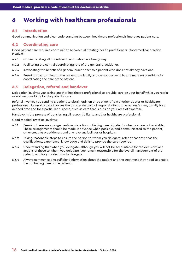# <span id="page-15-0"></span>6 Working with healthcare professionals

#### 6.1 Introduction

Good communication and clear understanding between healthcare professionals improves patient care.

# 6.2 Coordinating care

Good patient care requires coordination between all treating health practitioners. Good medical practice involves:

- 6.2.1 Communicating all the relevant information in a timely way.
- 6.2.2 Facilitating the central coordinating role of the general practitioner.
- 6.2.3 Advocating the benefit of a general practitioner to a patient who does not already have one.
- 6.2.4 Ensuring that it is clear to the patient, the family and colleagues, who has ultimate responsibility for coordinating the care of the patient.

# 6.3 Delegation, referral and handover

Delegation involves you asking another healthcare professional to provide care on your behalf while you retain overall responsibility for the patient's care.

Referral involves you sending a patient to obtain opinion or treatment from another doctor or healthcare professional. Referral usually involves the transfer (in part) of responsibility for the patient's care, usually for a defined time and for a particular purpose, such as care that is outside your area of expertise.

Handover is the process of transferring all responsibility to another healthcare professional.

Good medical practice involves:

- 6.3.1 Ensuring there are arrangements in place for continuing care of patients when you are not available. These arrangements should be made in advance when possible, and communicated to the patient, other treating practitioners and any relevant facilities or hospitals.
- 6.3.2 Taking reasonable steps to ensure the person to whom you delegate, refer or handover has the qualifications, experience, knowledge and skills to provide the care required.
- 6.3.3 Understanding that when you delegate, although you will not be accountable for the decisions and actions of those to whom you delegate, you remain responsible for the overall management of the patient, and for your decision to delegate.
- 6.3.4 Always communicating sufficient information about the patient and the treatment they need to enable the continuing care of the patient.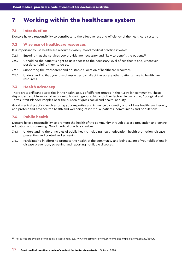# <span id="page-16-0"></span>7 Working within the healthcare system

### 7.1 Introduction

Doctors have a responsibility to contribute to the effectiveness and efficiency of the healthcare system.

# 7.2 Wise use of healthcare resources

It is important to use healthcare resources wisely. Good medical practice involves:

- 7.2.1 Ensuring that the services you provide are necessary and likely to benefit the patient.<sup>20</sup>
- 7.2.2 Upholding the patient's right to gain access to the necessary level of healthcare and, whenever possible, helping them to do so.
- 7.2.3 Supporting the transparent and equitable allocation of healthcare resources.
- 7.2.4 Understanding that your use of resources can affect the access other patients have to healthcare resources.

# 7.3 Health advocacy

There are significant disparities in the health status of different groups in the Australian community. These disparities result from social, economic, historic, geographic and other factors. In particular, Aboriginal and Torres Strait Islander Peoples bear the burden of gross social and health inequity.

Good medical practice involves using your expertise and influence to identify and address healthcare inequity and protect and advance the health and wellbeing of individual patients, communities and populations.

# 7.4 Public health

Doctors have a responsibility to promote the health of the community through disease prevention and control, education and screening. Good medical practice involves:

- 7.4.1 Understanding the principles of public health, including health education, health promotion, disease prevention and control and screening.
- 7.4.2 Participating in efforts to promote the health of the community and being aware of your obligations in disease prevention, screening and reporting notifiable diseases.

<sup>&</sup>lt;sup>20</sup> Resources are available for medical practitioners, e.g. [www.choosingwisely.org.au/home](http://www.choosingwisely.org.au/home) and<https://evolve.edu.au/about>.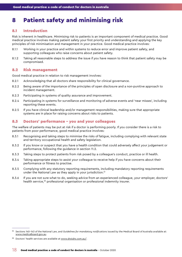# <span id="page-17-0"></span>8 Patient safety and minimising risk

#### 8.1 Introduction

Risk is inherent in healthcare. Minimising risk to patients is an important component of medical practice. Good medical practice involves making patient safety your first priority and understanding and applying the key principles of risk minimisation and management in your practice. Good medical practice involves:

- 8.1.1 Working in your practice and within systems to reduce error and improve patient safety, and supporting colleagues who raise concerns about patient safety.
- 8.1.2 Taking all reasonable steps to address the issue if you have reason to think that patient safety may be compromised.

#### 8.2 Risk management

Good medical practice in relation to risk management involves:

- 8.2.1 Acknowledging that all doctors share responsibility for clinical governance.
- 8.2.2 Being aware of the importance of the principles of open disclosure and a non-punitive approach to incident management.
- 8.2.3 Participating in systems of quality assurance and improvement.
- 8.2.4 Participating in systems for surveillance and monitoring of adverse events and 'near misses', including reporting these events.
- 8.2.5 If you have clinical leadership and/or management responsibilities, making sure that appropriate systems are in place for raising concerns about risks to patients.

# 8.3 Doctors' performance – you and your colleagues

The welfare of patients may be put at risk if a doctor is performing poorly. If you consider there is a risk to patients from poor performance, good medical practice involves:

- 8.3.1 Recognising and taking steps to minimise the risks of fatigue, including complying with relevant state and territory occupational health and safety legislation.
- 8.3.2 If you know or suspect that you have a health condition that could adversely affect your judgement or performance, following the guidance in section 11.2.
- 8.3.3 Taking steps to protect patients from risk posed by a colleague's conduct, practice or ill health.
- 8.3.4 Taking appropriate steps to assist your colleague to receive help if you have concerns about their performance or fitness to practise.
- 8.3.5 Complying with any statutory reporting requirements, including mandatory reporting requirements under the National Law as they apply in your jurisdiction.<sup>21</sup>
- 8.3.6 If you are not sure what to do, seeking advice from an experienced colleague, your employer, doctors' health service,<sup>22</sup> professional organisation or professional indemnity insurer.

<sup>21</sup> Sections 140-143 of the National Law, and *Guidelines for mandatory notifications* issued by the Medical Board of Australia available at: [www.medicalboard.gov.au.](http://www.medicalboard.gov.au)

<sup>&</sup>lt;sup>22</sup> Doctors' health services are available at [www.drs4drs.com.au/.](http://www.drs4drs.com.au/)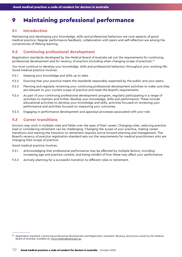# <span id="page-18-0"></span>9 Maintaining professional performance

### 9.1 Introduction

Maintaining and developing your knowledge, skills and professional behaviour are core aspects of good medical practice. Regular performance feedback, collaboration with peers and self-reflection are among the cornerstones of lifelong learning.

# 9.2 Continuing professional development

Registration standards developed by the Medical Board of Australia set out the requirements for continuing professional development and for recency of practice (including when changing scope of practice).<sup>23</sup>

You must continue to develop your knowledge, skills and professional behaviour throughout your working life. Good medical practice involves:

- 9.2.1 Keeping your knowledge and skills up to date.
- 9.2.2 Ensuring that your practice meets the standards reasonably expected by the public and your peers.
- 9.2.3 Planning and regularly reviewing your continuing professional development activities to make sure they are relevant to your current scope of practice and meet the Board's requirements.
- 9.2.4 As part of your continuing professional development program, regularly participating in a range of activities to maintain and further develop your knowledge, skills and performance. These include educational activities to develop your knowledge and skills, activities focused on reviewing your performance and activities focused on measuring your outcomes.
- 9.2.5 Engaging in performance development and appraisal processes associated with your role.

# 9.3 Career transitions

Doctors may work in multiple roles and fields over the span of their career. Changing roles, reducing practice load or considering retirement can be challenging. Changing the scope of your practice, making career transitions and starting the transition to retirement requires active forward planning and management. The Board's recency of practice registration standard sets out the requirements for medical practitioners who are changing their scope of practice.

Good medical practice involves:

- 9.3.1 Acknowledging that professional performance may be affected by multiple factors, including increasing age and practice context, and being mindful of how these may affect your performance.
- 9.3.2 Actively planning for a successful transition to different roles or retirement.

<sup>23</sup> Registration standard: Continuing professional development and *Registration standard: Recency of practice* issued by the Medical Board of Australia, available at: [www.medicalboard.gov.au.](http://www.medicalboard.gov.au)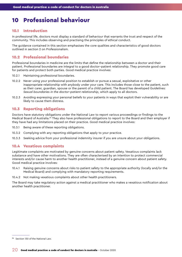# <span id="page-19-0"></span>10 Professional behaviour

#### 10.1 Introduction

In professional life, doctors must display a standard of behaviour that warrants the trust and respect of the community. This includes observing and practising the principles of ethical conduct.

The guidance contained in this section emphasises the core qualities and characteristics of good doctors outlined in section 2 on Professionalism.

# 10.2 Professional boundaries

Professional boundaries in medicine are the limits that define the relationship between a doctor and their patient. Professional boundaries are integral to a good doctor–patient relationship. They promote good care for patients and protect both parties. Good medical practice involves:

- 10.2.1 Maintaining professional boundaries.
- 10.2.2 Never using your professional position to establish or pursue a sexual, exploitative or other inappropriate relationship with anybody under your care. This includes those close to the patient, such as their carer, guardian, spouse or the parent of a child patient. The Board has developed *Guidelines: Sexual boundaries in the doctor–patient relationship*, which apply to all doctors.
- 10.2.3 Avoiding expressing your personal beliefs to your patients in ways that exploit their vulnerability or are likely to cause them distress.

# 10.3 Reporting obligations

Doctors have statutory obligations under the National Law to report various proceedings or findings to the Medical Board of Australia.<sup>24</sup> They also have professional obligations to report to the Board and their employer if they have had any limitations placed on their practice. Good medical practice involves:

- 10.3.1 Being aware of these reporting obligations.
- 10.3.2 Complying with any reporting obligations that apply to your practice.
- 10.3.3 Seeking advice from your professional indemnity insurer if you are unsure about your obligations.

#### 10.4 Vexatious complaints

Legitimate complaints are motivated by genuine concerns about patient safety. Vexatious complaints lack substance and have other motivations. They are often characterised by an intention to protect commercial interests and/or cause harm to another health practitioner, instead of a genuine concern about patient safety. Good medical practice involves:

- 10.4.1 Raising genuine concerns about risks to patient safety to the appropriate authority (locally and/or the Medical Board) and complying with mandatory reporting requirements.
- 10.4.2 Not making vexatious complaints about other health practitioners.

The Board may take regulatory action against a medical practitioner who makes a vexatious notification about another health practitioner.

<sup>&</sup>lt;sup>24</sup> Section 130 of the National Law.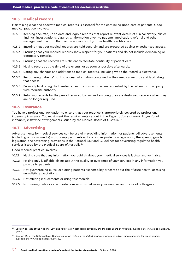#### <span id="page-20-0"></span>10.5 Medical records

Maintaining clear and accurate medical records is essential for the continuing good care of patients. Good medical practice involves:

- 10.5.1 Keeping accurate, up to date and legible records that report relevant details of clinical history, clinical findings, investigations, diagnosis, information given to patients, medication, referral and other management in a form that can be understood by other health practitioners.
- 10.5.2 Ensuring that your medical records are held securely and are protected against unauthorised access.
- 10.5.3 Ensuring that your medical records show respect for your patients and do not include demeaning or derogatory remarks.
- 10.5.4 Ensuring that the records are sufficient to facilitate continuity of patient care.
- 10.5.5 Making records at the time of the events, or as soon as possible afterwards.
- 10.5.6 Dating any changes and additions to medical records, including when the record is electronic.
- 10.5.7 Recognising patients' right to access information contained in their medical records and facilitating that access.
- 10.5.8 Promptly facilitating the transfer of health information when requested by the patient or third party with requisite authority.
- 10.5.9 Retaining records for the period required by law and ensuring they are destroyed securely when they are no longer required.

#### 10.6 Insurance

You have a professional obligation to ensure that your practice is appropriately covered by professional indemnity insurance. You must meet the requirements set out in the *Registration standard: Professional indemnity insurance arrangements* issued by the Medical Board of Australia.25

#### 10.7 Advertising

Advertisements for medical services can be useful in providing information for patients. All advertisements (including on social media) must comply with relevant consumer protection legislation, therapeutic goods legislation, the advertising provisions in the National Law and Guidelines for advertising regulated health services issued by the Medical Board of Australia.<sup>26</sup>

Good medical practice involves:

- 10.7.1 Making sure that any information you publish about your medical services is factual and verifiable.
- 10.7.2 Making only justifiable claims about the quality or outcomes of your services in any information you provide to patients.
- 10.7.3 Not guaranteeing cures, exploiting patients' vulnerability or fears about their future health, or raising unrealistic expectations.
- 10.7.4 Not offering inducements or using testimonials.
- 10.7.5 Not making unfair or inaccurate comparisons between your services and those of colleagues.

<sup>&</sup>lt;sup>25</sup> Section 38(1)(a) of the National Law and registration standards issued by the Medical Board of Australia, available at: [www.medicalboard.](http://www.medicalboard.gov.au) [gov.au](http://www.medicalboard.gov.au).

<sup>26</sup> Section 133 of the National Law, *Guidelines for advertising regulated health services* and advertising resources for practitioners, available at: [www.medicalboard.gov.au.](http://www.medicalboard.gov.au)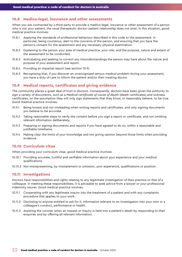#### <span id="page-21-0"></span>10.8 Medico-legal, insurance and other assessments

When you are contracted by a third party to provide a medico-legal, insurance or other assessment of a person who is not your patient, the usual therapeutic doctor–patient relationship does not exist. In this situation, good medical practice involves:

- 10.8.1 Applying the standards of professional behaviour described in this code to the assessment. In particular, being courteous, alert to the concerns of the person, and ensuring that you have the person's consent for the assessment and any necessary physical examination.
- 10.8.2 Explaining to the person your area of medical practice, your role, and the purpose, nature and extent of the assessment to be conducted.
- 10.8.3 Anticipating and seeking to correct any misunderstandings the person may have about the nature and purpose of your assessment and report.
- 10.8.4 Providing an impartial report (see section 10.9).
- 10.8.5 Recognising that, if you discover an unrecognised serious medical problem during your assessment, you have a duty of care to inform the patient and/or their treating doctor.

### 10.9 Medical reports, certificates and giving evidence

The community places a great deal of trust in doctors. Consequently, doctors have been given the authority to sign a variety of documents, such as a *Medical certificate of cause of deat*h (death certificates) and sickness certificates, on the assumption they will only sign statements that they know, or reasonably believe, to be true. Good medical practice involves:

- 10.9.1 Being honest and not misleading when writing reports and certificates, and only signing documents you believe to be accurate.
- 10.9.2 Taking reasonable steps to verify the content before you sign a report or certificate, and not omitting relevant information deliberately.
- 10.9.3 Preparing or signing documents and reports if you have agreed to do so, within a reasonable and justifiable timeframe.
- 10.9.4 Making clear the limits of your knowledge and not giving opinion beyond those limits when providing evidence.

# 10.10 Curriculum vitae

When providing your curriculum vitae, good medical practice involves:

- 10.10.1 Providing accurate, truthful and verifiable information about your experience and your medical qualifications.
- 10.10.2 Not misrepresenting, by misstatement or omission, your experience, qualifications or position.

#### 10.11 Investigations

Doctors have responsibilities and rights relating to any legitimate investigation of their practice or that of a colleague. In meeting these responsibilities, it is advisable to seek advice from a lawyer or your professional indemnity insurer. Good medical practice involves:

- 10.11.1 Cooperating with any legitimate inquiry into the treatment of a patient and with any complaints procedure that applies to your work.
- 10.11.2 Disclosing to anyone entitled to ask for it, information relevant to an investigation into your own or a colleague's conduct, performance or health.
- 10.11.3 Assisting the coroner when an inquest or inquiry is held into a patient's death by responding to their enquiries and by offering all relevant information.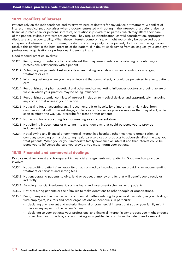# <span id="page-22-0"></span>10.12 Conflicts of interest

Patients rely on the independence and trustworthiness of doctors for any advice or treatment. A conflict of interest in medical practice arises when a doctor, entrusted with acting in the interests of a patient, also has financial, professional or personal interests, or relationships with third parties, which may affect their care of the patient. Multiple interests are common. They require identification, careful consideration, appropriate disclosure and accountability. When these interests compromise, or might reasonably be perceived by an independent observer to compromise, the doctor's primary duty to the patient, doctors must recognise and resolve this conflict in the best interests of the patient. If in doubt, seek advice from colleagues, your employer, professional organisation or professional indemnity insurer.

Good medical practice involves:

- 10.12.1 Recognising potential conflicts of interest that may arise in relation to initiating or continuing a professional relationship with a patient.
- 10.12.2 Acting in your patients' best interests when making referrals and when providing or arranging treatment or care.
- 10.12.3 Informing patients when you have an interest that could affect, or could be perceived to affect, patient care.
- 10.12.4 Recognising that pharmaceutical and other medical marketing influences doctors and being aware of ways in which your practice may be being influenced.
- 10.12.5 Recognising potential conflicts of interest in relation to medical devices and appropriately managing any conflict that arises in your practice.
- 10.12.6 Not asking for, or accepting any, inducement, gift or hospitality of more than trivial value, from companies that sell or market drugs, appliances or devices, or provide services that may affect, or be seen to affect, the way you prescribe for, treat or refer patients.
- 10.12.7 Not asking for or accepting fees for meeting sales representatives.
- 10.12.8 Not offering inducements or entering into arrangements that could be perceived to provide inducements.
- 10.12.9 Not allowing any financial or commercial interest in a hospital, other healthcare organisation, or company providing or manufacturing healthcare services or products to adversely affect the way you treat patients. When you or your immediate family have such an interest and that interest could be perceived to influence the care you provide, you must inform your patient.

# 10.13 Financial and commercial dealings

Doctors must be honest and transparent in financial arrangements with patients. Good medical practice involves:

- 10.13.1 Not exploiting patients' vulnerability or lack of medical knowledge when providing or recommending treatment or services and setting fees.
- 10.13.2 Not encouraging patients to give, lend or bequeath money or gifts that will benefit you directly or indirectly.
- 10.13.3 Avoiding financial involvement, such as loans and investment schemes, with patients.
- 10.13.4 Not pressuring patients or their families to make donations to other people or organisations.
- 10.13.5 Being transparent in financial and commercial matters relating to your work, including in your dealings with employers, insurers and other organisations or individuals. In particular:
	- declaring any relevant and material financial or commercial interest that you or your family might have in any aspect of the patient's care
	- declaring to your patients your professional and financial interest in any product you might endorse or sell from your practice, and not making an unjustifiable profit from the sale or endorsement.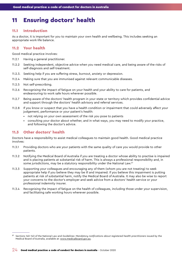# <span id="page-23-0"></span>11 Ensuring doctors' health

### 11.1 Introduction

As a doctor, it is important for you to maintain your own health and wellbeing. This includes seeking an appropriate work-life balance.

### 11.2 Your health

Good medical practice involves:

- 11.2.1 Having a general practitioner.
- 11.2.2 Seeking independent, objective advice when you need medical care, and being aware of the risks of self-diagnosis and self-treatment.
- 11.2.3. Seeking help if you are suffering stress, burnout, anxiety or depression.
- 11.2.4 Making sure that you are immunised against relevant communicable diseases.
- 11.2.5 Not self-prescribing.
- 11.2.6 Recognising the impact of fatigue on your health and your ability to care for patients, and endeavouring to work safe hours wherever possible.
- 11.2.7 Being aware of the doctors' health program in your state or territory which provides confidential advice and support through the doctors' health advisory and referral services.
- 11.2.8 If you know or suspect that you have a health condition or impairment that could adversely affect your judgement, performance or your patient's health:
	- not relying on your own assessment of the risk you pose to patients
	- consulting your doctor about whether, and in what ways, you may need to modify your practice, and following the doctor's advice.

# 11.3 Other doctors' health

Doctors have a responsibility to assist medical colleagues to maintain good health. Good medical practice involves:

- 11.3.1 Providing doctors who are your patients with the same quality of care you would provide to other patients.
- 11.3.2 Notifying the Medical Board of Australia if you are treating a doctor whose ability to practise is impaired and is placing patients at substantial risk of harm. This is always a professional responsibility and, in some jurisdictions, may be a statutory responsibility under the National Law.<sup>27</sup>
- 11.3.3 Supporting your colleagues and encouraging any of them (whom you are not treating) to seek appropriate help if you believe they may be ill and impaired. If you believe this impairment is putting patients at risk of substantial harm, notify the Medical Board of Australia. It may also be wise to report your concerns to the doctor's employer and seek advice from a doctors' health service or your professional indemnity insurer.
- 11.3.4 Recognising the impact of fatigue on the health of colleagues, including those under your supervision, and facilitating safe working hours wherever possible.

<sup>27</sup> Sections 140-143 of the National Law and *Guidelines: Mandatory notifications about registered health practitioners* issued by the Medical Board of Australia, available at: [www.medicalboard.gov.au.](http://www.medicalboard.gov.au)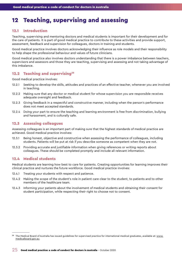# <span id="page-24-0"></span>12 Teaching, supervising and assessing

#### 12.1 Introduction

Teaching, supervising and mentoring doctors and medical students is important for their development and for the care of patients. It is part of good medical practice to contribute to these activities and provide support, assessment, feedback and supervision for colleagues, doctors in training and students.

Good medical practice involves doctors acknowledging their influence as role models and their responsibility to help shape the professional behaviour and values of future clinicians.

Good medical practice also involves doctors understanding that there is a power imbalance between teachers, supervisors and assessors and those they are teaching, supervising and assessing and not taking advantage of this imbalance.

#### 12.2 Teaching and supervising<sup>28</sup>

Good medical practice involves:

- 12.2.1 Seeking to develop the skills, attitudes and practices of an effective teacher, whenever you are involved in teaching.
- 12.2.2 Making sure that any doctor or medical student for whose supervision you are responsible receives adequate oversight and feedback.
- 12.2.3 Giving feedback in a respectful and constructive manner, including when the person's performance does not meet accepted standards.
- 12.2.4 Doing your part to ensure the teaching and learning environment is free from discrimination, bullying and harassment, and is culturally safe.

### 12.3 Assessing colleagues

Assessing colleagues is an important part of making sure that the highest standards of medical practice are achieved. Good medical practice involves:

- 12.3.1 Being honest, objective and constructive when assessing the performance of colleagues, including students. Patients will be put at risk if you describe someone as competent when they are not.
- 12.3.2 Providing accurate and justifiable information when giving references or writing reports about colleagues. These should be completed promptly and include all relevant information.

# 12.4 Medical students

Medical students are learning how best to care for patients. Creating opportunities for learning improves their clinical practice and nurtures the future workforce. Good medical practice involves:

- 12.4.1 Treating your students with respect and patience.
- 12.4.2 Making the scope of the student's role in patient care clear to the student, to patients and to other members of the healthcare team.
- 12.4.3 Informing your patients about the involvement of medical students and obtaining their consent for student participation, while respecting their right to choose not to consent.

<sup>&</sup>lt;sup>28</sup> The Medical Board of Australia has issued guidelines for supervised practice for international medical graduates, available at: [www.](http://www.medicalboard.gov.au) [medicalboard.gov.au.](http://www.medicalboard.gov.au)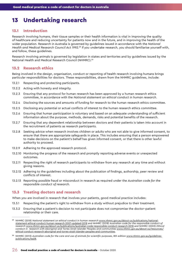# <span id="page-25-0"></span>13 Undertaking research

# 13.1 Introduction

Research involving humans, their tissue samples or their health information is vital in improving the quality of healthcare and reducing uncertainty for patients now and in the future, and in improving the health of the wider population. Research in Australia is governed by guidelines issued in accordance with the *National Health and Medical Research Council Act 1992*. 29 If you undertake research, you should familiarise yourself with, and follow, these guidelines.

Research involving animals is governed by legislation in states and territories and by guidelines issued by the National Health and Medical Research Council (NHMRC).<sup>30</sup>

# 13.2 Research ethics

Being involved in the design, organisation, conduct or reporting of health research involving humans brings particular responsibilities for doctors. These responsibilities, drawn from the NHMRC guidelines, include:

- 13.2.1 Respecting and protecting participants.
- 13.2.2 Acting with honesty and integrity.
- 13.2.3 Ensuring that any protocol for human research has been approved by a human research ethics committee, in accordance with the *National statement on ethical conduct in human research*.
- 13.2.4 Disclosing the sources and amounts of funding for research to the human research ethics committee.
- 13.2.5 Disclosing any potential or actual conflicts of interest to the human research ethics committee.
- 13.2.6 Ensuring that human participation is voluntary and based on an adequate understanding of sufficient information about the purpose, methods, demands, risks and potential benefits of the research.
- 13.2.7 Ensuring that any dependent relationship between doctors and their patients is taken into account in the recruitment of patients as research participants.
- 13.2.8 Seeking advice when research involves children or adults who are not able to give informed consent, to ensure that there are appropriate safeguards in place. This includes ensuring that a person empowered to make decisions on the patient's behalf has given informed consent, or that there is other lawful authority to proceed.
- 13.2.9 Adhering to the approved research protocol.
- 13.2.10 Monitoring the progress of the research and promptly reporting adverse events or unexpected outcomes.
- 13.2.11 Respecting the right of research participants to withdraw from any research at any time and without giving reasons.
- 13.2.12 Adhering to the guidelines including about the publication of findings, authorship, peer review and conflicts of interest.
- 13.2.13 Reporting possible fraud or misconduct in research as required under the *Australian code for the responsible conduct of research*.

#### 13.3 Treating doctors and research

When you are involved in research that involves your patients, good medical practice includes:

- 13.3.1 Respecting the patient's right to withdraw from a study without prejudice to their treatment.
- 13.3.2 Ensuring that a patient's decision to not participate does not compromise the doctor–patient relationship or their care.

<sup>29</sup> NHMRC (2018) *National statement on ethical conduct in human research* [www.nhmrc.gov.au/about-us/publications/national](http://www.nhmrc.gov.au/about-us/publications/national-statement-ethical-conduct-human-research-2007-updated-2018)[statement-ethical-conduct-human-research-2007-updated-2018](http://www.nhmrc.gov.au/about-us/publications/national-statement-ethical-conduct-human-research-2007-updated-2018) and NHMRC (2018) *Australian code for the responsible conduct of research* [www.nhmrc.gov.au/about-us/publications/australian-code-responsible-conduct-research-2018](http://www.nhmrc.gov.au/about-us/publications/australian-code-responsible-conduct-research-2018) and NHMRC (2003) *Ethical conduct in research with Aboriginal and Torres Strait Islander Peoples and communities* [www.nhmrc.gov.au/about-us/resources/](http://www.nhmrc.gov.au/about-us/resources/ethical-conduct-research-aboriginal-and-torres-strait-islander-peoples-and-communities) [ethical-conduct-research-aboriginal-and-torres-strait-islander-peoples-and-communities](http://www.nhmrc.gov.au/about-us/resources/ethical-conduct-research-aboriginal-and-torres-strait-islander-peoples-and-communities).

<sup>&</sup>lt;sup>30</sup> NHMRC (2013) Australian code for the care and use of animals for scientific purposes, 8th edition [www.nhmrc.gov.au/guidelines](http://www.nhmrc.gov.au/guidelines-publications/ea28)[publications/ea28](http://www.nhmrc.gov.au/guidelines-publications/ea28).